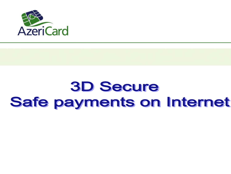

# **3D Secure** Safe payments on Internet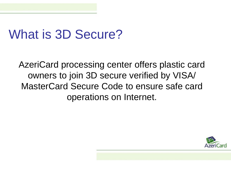### What is 3D Secure?

AzeriCard processing center offers plastic card owners to join 3D secure verified by VISA/ MasterCard Secure Code to ensure safe card operations on Internet.

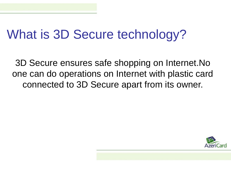# What is 3D Secure technology?

3D Secure ensures safe shopping on Internet.No one can do operations on Internet with plastic card connected to 3D Secure apart from its owner.

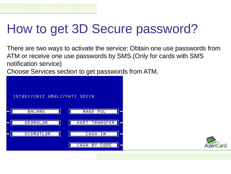# How to get 3D Secure password?

There are two ways to activate the service: Obtain one use passwords from ATM or receive one use passwords by SMS.(Only for cards with SMS notification service)

Choose Services section to get passwords from ATM.



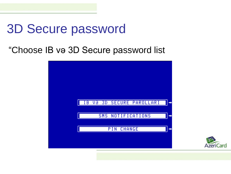#### "Choose IB və 3D Secure password list



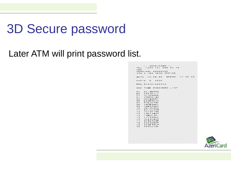### Later ATM will print password list.

|                | $-2. AZERICARD -$             |
|----------------|-------------------------------|
|                | TEL. 1994 12) 598 43 76       |
| <b>IBA</b>     |                               |
|                | TERMINAL 0000059S             |
|                | ATM J JBA HEAD OFFICE         |
|                | DATA. 13.06/06 BPEMR 12 49 43 |
|                | KAPTA, 6., 4535               |
|                | RRN 816501065049              |
|                | ONE TIME PASSWORD LIST        |
|                | 01 SC-GBRCN                   |
| 02             | CS37FJIT                      |
|                | 03 VI16M4BE                   |
|                | 0: ARMPHIGC                   |
|                | $0.5 - U(0.12.86.8)$          |
|                | 06 L5UBNKJ1                   |
|                | $0.7$ $4 N1$ TD TW?           |
|                | $0.8$ $5 M 3B 9 M K 1$        |
|                | 09 7H8P9CE7                   |
|                | 10 3U: ULMX4                  |
|                | 11 SC-LLVCR                   |
|                | 12 YJ1 MT ? WT                |
| 13             | LAE13BJT                      |
| 1.4            | $- XD2LIP -$                  |
| 1.5            | 1 Y1 5 4 DLL                  |
| 16             | VL6ALQJ3                      |
| 1 <sub>T</sub> | <b>S78BT3WP</b>               |
| 1 <sub>6</sub> | 53ZA2BZP                      |
| 19             | 22 GO FSLN                    |
|                | 20 44 BLZ VW-                 |

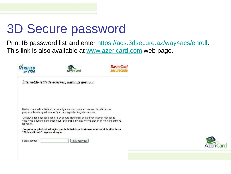Print IB password list and enter [https://acs.3dsecure.az/way4acs/enroll.](https://acs.3dsecure.az/way4acs/enroll) This link is also available at [www.azericard.com](http://www.azericard.com/) web page.

| by VISA                           | AzeriCard                                                                                                                                                                     | <b>MasterCard</b><br>SecureCo |
|-----------------------------------|-------------------------------------------------------------------------------------------------------------------------------------------------------------------------------|-------------------------------|
|                                   | İnternetdə istifadə edərkən, kartınızı qoruyun                                                                                                                                |                               |
|                                   | Kartınızı İnternet-də Dələduzluq əməlliyatlarından qorumaq məqsədi ilə 3-D Secure<br>proqrammlarında iştirak etmək üçün qeydiyyatdan keçirdə bilərsiniz.                      |                               |
| istiyacak.                        | Qeydiyyatdan keçəndən sonra, 3-D Secure proqramını dəstəkliyən internet-mağazada<br>əməliyyatı uğurla tamamlamaq üçün, bankınızın internet-sistemi sizdən parolu daxil etməyə |                               |
| "Aktivləsdirmək" düyməsini seçin. | Proqramda iştirak etmək üçün parolu bilirsinizsə, kartınızın nömrəsini daxil edin və                                                                                          |                               |
|                                   |                                                                                                                                                                               |                               |

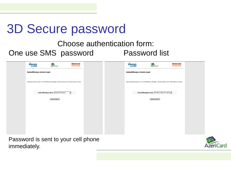#### Choose authentication form: One use SMS password Password list

|              | <b>VERIFIED</b><br>by VISA                                                                          | AzeriCard                                  | <i>MasterCard.<br/>SecureCode</i> |  | <b>VERIFIED</b>              | AzeriCard                                                                                           | <b>MasterCard.</b><br>SecureCode. |
|--------------|-----------------------------------------------------------------------------------------------------|--------------------------------------------|-----------------------------------|--|------------------------------|-----------------------------------------------------------------------------------------------------|-----------------------------------|
|              | Autentifikasiya növünü seçin                                                                        |                                            |                                   |  | Autentifikasiya növünü seçin |                                                                                                     |                                   |
|              | Qeydiyyat aparmaq üçün Sizi autentifikasiya etmaliyik. Zahmat olmasa olan növlərindən birini seçin. |                                            |                                   |  |                              | Geydiyyat aparmaq üçün Sizi autentifikasiya etmeliyik. Zahmat olmasa olan növlərindən birini seçin. |                                   |
|              |                                                                                                     | Autentifikasiya növü: Birdafalik SMS şifra | $\overline{\mathbf{z}}$           |  |                              | Autentifikasiya növü: Birdefelik şifrelerin siyahısı v                                              |                                   |
|              |                                                                                                     | Davam etmak                                |                                   |  |                              | Davam etmək                                                                                         |                                   |
|              |                                                                                                     |                                            |                                   |  |                              |                                                                                                     |                                   |
|              |                                                                                                     |                                            |                                   |  |                              |                                                                                                     |                                   |
|              |                                                                                                     |                                            |                                   |  |                              |                                                                                                     |                                   |
|              |                                                                                                     |                                            |                                   |  |                              |                                                                                                     |                                   |
|              | Password is sent to your cell phone                                                                 |                                            |                                   |  |                              |                                                                                                     |                                   |
| immediately. |                                                                                                     |                                            |                                   |  |                              |                                                                                                     |                                   |

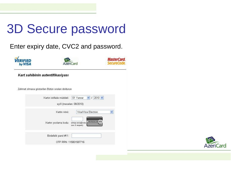Enter expiry date, CVC2 and password.



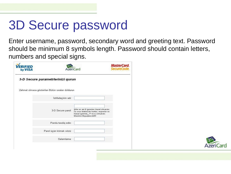Enter username, password, secondary word and greeting text. Password should be minimum 8 symbols length. Password should contain letters, numbers and special signs.

| 313 D<br>by VISA |                                                  | <b>AzeriCard</b>                                                                                                                                       | <b>MasterCard.</b><br>SecureCode. |  |
|------------------|--------------------------------------------------|--------------------------------------------------------------------------------------------------------------------------------------------------------|-----------------------------------|--|
|                  | 3-D Secure parametriorinizi qurun                |                                                                                                                                                        |                                   |  |
|                  | Zehmet olmasa gösterilen Bütün sıraları doldurun |                                                                                                                                                        |                                   |  |
|                  | İstifadəçinin adı:                               |                                                                                                                                                        |                                   |  |
|                  | 3-D Secure parol:                                | Şifrə ən azı 8 işarədən ibarət olmalıdır<br>ve onun terkibinde herfler, regemler ve<br>hüsusi işarələr( !? və s.) olmalıdır.<br>Masalan: Mypassword25! |                                   |  |
|                  | Parolu tesdiq edin:                              |                                                                                                                                                        |                                   |  |
|                  | Parol üçün kömək sözü:                           |                                                                                                                                                        |                                   |  |
|                  | Salamlama:                                       |                                                                                                                                                        |                                   |  |

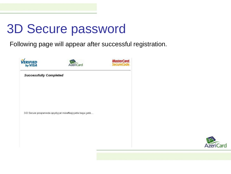Following page will appear after successful registration.